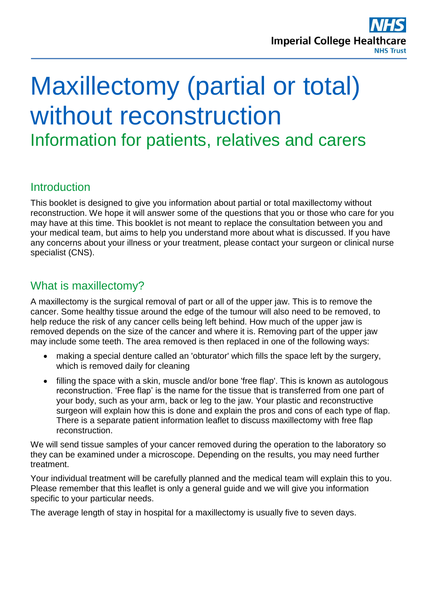

# Maxillectomy (partial or total) without reconstruction Information for patients, relatives and carers

### **Introduction**

This booklet is designed to give you information about partial or total maxillectomy without reconstruction. We hope it will answer some of the questions that you or those who care for you may have at this time. This booklet is not meant to replace the consultation between you and your medical team, but aims to help you understand more about what is discussed. If you have any concerns about your illness or your treatment, please contact your surgeon or clinical nurse specialist (CNS).

### What is maxillectomy?

A maxillectomy is the surgical removal of part or all of the upper jaw. This is to remove the cancer. Some healthy tissue around the edge of the tumour will also need to be removed, to help reduce the risk of any cancer cells being left behind. How much of the upper jaw is removed depends on the size of the cancer and where it is. Removing part of the upper jaw may include some teeth. The area removed is then replaced in one of the following ways:

- making a special denture called an 'obturator' which fills the space left by the surgery, which is removed daily for cleaning
- filling the space with a skin, muscle and/or bone 'free flap'. This is known as autologous reconstruction. 'Free flap' is the name for the tissue that is transferred from one part of your body, such as your arm, back or leg to the jaw. Your plastic and reconstructive surgeon will explain how this is done and explain the pros and cons of each type of flap. There is a separate patient information leaflet to discuss maxillectomy with free flap reconstruction.

We will send tissue samples of your cancer removed during the operation to the laboratory so they can be examined under a microscope. Depending on the results, you may need further treatment.

Your individual treatment will be carefully planned and the medical team will explain this to you. Please remember that this leaflet is only a general guide and we will give you information specific to your particular needs.

The average length of stay in hospital for a maxillectomy is usually five to seven days.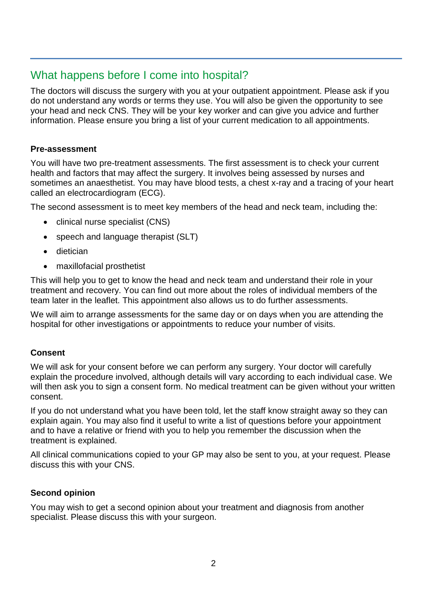# What happens before I come into hospital?

The doctors will discuss the surgery with you at your outpatient appointment. Please ask if you do not understand any words or terms they use. You will also be given the opportunity to see your head and neck CNS. They will be your key worker and can give you advice and further information. Please ensure you bring a list of your current medication to all appointments.

#### **Pre-assessment**

You will have two pre-treatment assessments. The first assessment is to check your current health and factors that may affect the surgery. It involves being assessed by nurses and sometimes an anaesthetist. You may have blood tests, a chest x-ray and a tracing of your heart called an electrocardiogram (ECG).

The second assessment is to meet key members of the head and neck team, including the:

- clinical nurse specialist (CNS)
- speech and language therapist (SLT)
- dietician
- maxillofacial prosthetist

This will help you to get to know the head and neck team and understand their role in your treatment and recovery. You can find out more about the roles of individual members of the team later in the leaflet. This appointment also allows us to do further assessments.

We will aim to arrange assessments for the same day or on days when you are attending the hospital for other investigations or appointments to reduce your number of visits.

#### **Consent**

We will ask for your consent before we can perform any surgery. Your doctor will carefully explain the procedure involved, although details will vary according to each individual case. We will then ask you to sign a consent form. No medical treatment can be given without your written consent.

If you do not understand what you have been told, let the staff know straight away so they can explain again. You may also find it useful to write a list of questions before your appointment and to have a relative or friend with you to help you remember the discussion when the treatment is explained.

All clinical communications copied to your GP may also be sent to you, at your request. Please discuss this with your CNS.

#### **Second opinion**

You may wish to get a second opinion about your treatment and diagnosis from another specialist. Please discuss this with your surgeon.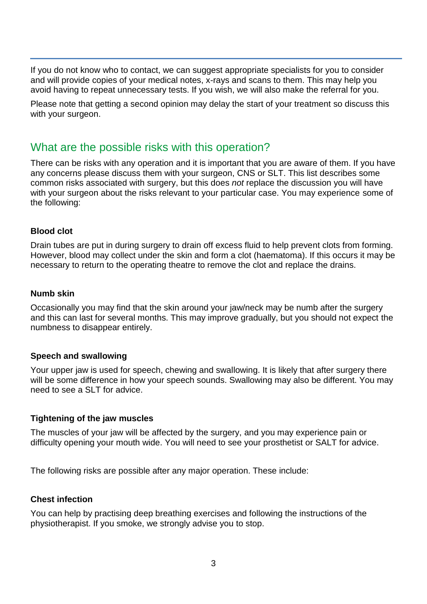If you do not know who to contact, we can suggest appropriate specialists for you to consider and will provide copies of your medical notes, x-rays and scans to them. This may help you avoid having to repeat unnecessary tests. If you wish, we will also make the referral for you.

Please note that getting a second opinion may delay the start of your treatment so discuss this with your surgeon.

### What are the possible risks with this operation?

There can be risks with any operation and it is important that you are aware of them. If you have any concerns please discuss them with your surgeon, CNS or SLT. This list describes some common risks associated with surgery, but this does *not* replace the discussion you will have with your surgeon about the risks relevant to your particular case. You may experience some of the following:

#### **Blood clot**

Drain tubes are put in during surgery to drain off excess fluid to help prevent clots from forming. However, blood may collect under the skin and form a clot (haematoma). If this occurs it may be necessary to return to the operating theatre to remove the clot and replace the drains.

#### **Numb skin**

Occasionally you may find that the skin around your jaw/neck may be numb after the surgery and this can last for several months. This may improve gradually, but you should not expect the numbness to disappear entirely.

#### **Speech and swallowing**

Your upper jaw is used for speech, chewing and swallowing. It is likely that after surgery there will be some difference in how your speech sounds. Swallowing may also be different. You may need to see a SLT for advice.

#### **Tightening of the jaw muscles**

The muscles of your jaw will be affected by the surgery, and you may experience pain or difficulty opening your mouth wide. You will need to see your prosthetist or SALT for advice.

The following risks are possible after any major operation. These include:

#### **Chest infection**

You can help by practising deep breathing exercises and following the instructions of the physiotherapist. If you smoke, we strongly advise you to stop.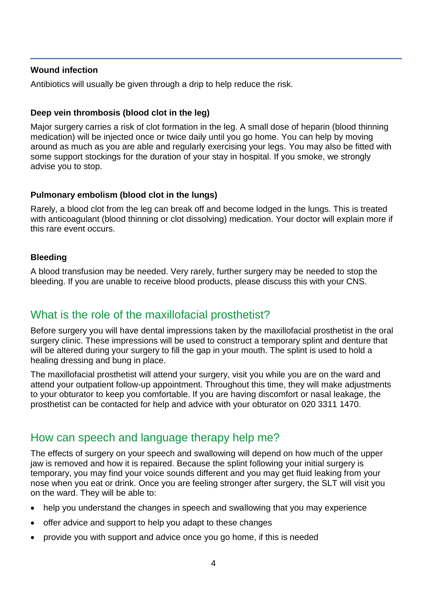#### **Wound infection**

Antibiotics will usually be given through a drip to help reduce the risk.

#### **Deep vein thrombosis (blood clot in the leg)**

Major surgery carries a risk of clot formation in the leg. A small dose of heparin (blood thinning medication) will be injected once or twice daily until you go home. You can help by moving around as much as you are able and regularly exercising your legs. You may also be fitted with some support stockings for the duration of your stay in hospital. If you smoke, we strongly advise you to stop.

#### **Pulmonary embolism (blood clot in the lungs)**

Rarely, a blood clot from the leg can break off and become lodged in the lungs. This is treated with anticoagulant (blood thinning or clot dissolving) medication. Your doctor will explain more if this rare event occurs.

#### **Bleeding**

A blood transfusion may be needed. Very rarely, further surgery may be needed to stop the bleeding. If you are unable to receive blood products, please discuss this with your CNS.

### What is the role of the maxillofacial prosthetist?

Before surgery you will have dental impressions taken by the maxillofacial prosthetist in the oral surgery clinic. These impressions will be used to construct a temporary splint and denture that will be altered during your surgery to fill the gap in your mouth. The splint is used to hold a healing dressing and bung in place.

The maxillofacial prosthetist will attend your surgery, visit you while you are on the ward and attend your outpatient follow-up appointment. Throughout this time, they will make adjustments to your obturator to keep you comfortable. If you are having discomfort or nasal leakage, the prosthetist can be contacted for help and advice with your obturator on 020 3311 1470.

### How can speech and language therapy help me?

The effects of surgery on your speech and swallowing will depend on how much of the upper jaw is removed and how it is repaired. Because the splint following your initial surgery is temporary, you may find your voice sounds different and you may get fluid leaking from your nose when you eat or drink. Once you are feeling stronger after surgery, the SLT will visit you on the ward. They will be able to:

- help you understand the changes in speech and swallowing that you may experience
- offer advice and support to help you adapt to these changes
- provide you with support and advice once you go home, if this is needed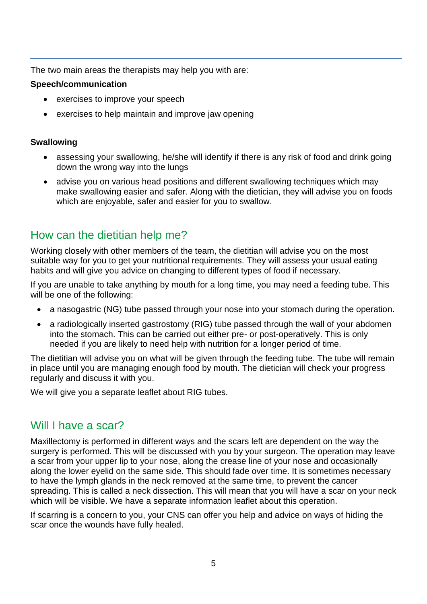The two main areas the therapists may help you with are:

#### **Speech/communication**

- exercises to improve your speech
- exercises to help maintain and improve jaw opening

#### **Swallowing**

- assessing your swallowing, he/she will identify if there is any risk of food and drink going down the wrong way into the lungs
- advise you on various head positions and different swallowing techniques which may make swallowing easier and safer. Along with the dietician, they will advise you on foods which are enjoyable, safer and easier for you to swallow.

# How can the dietitian help me?

Working closely with other members of the team, the dietitian will advise you on the most suitable way for you to get your nutritional requirements. They will assess your usual eating habits and will give you advice on changing to different types of food if necessary.

If you are unable to take anything by mouth for a long time, you may need a feeding tube. This will be one of the following:

- a nasogastric (NG) tube passed through your nose into your stomach during the operation.
- a radiologically inserted gastrostomy (RIG) tube passed through the wall of your abdomen into the stomach. This can be carried out either pre- or post-operatively. This is only needed if you are likely to need help with nutrition for a longer period of time.

The dietitian will advise you on what will be given through the feeding tube. The tube will remain in place until you are managing enough food by mouth. The dietician will check your progress regularly and discuss it with you.

We will give you a separate leaflet about RIG tubes.

### Will I have a scar?

Maxillectomy is performed in different ways and the scars left are dependent on the way the surgery is performed. This will be discussed with you by your surgeon. The operation may leave a scar from your upper lip to your nose, along the crease line of your nose and occasionally along the lower eyelid on the same side. This should fade over time. It is sometimes necessary to have the lymph glands in the neck removed at the same time, to prevent the cancer spreading. This is called a neck dissection. This will mean that you will have a scar on your neck which will be visible. We have a separate information leaflet about this operation.

If scarring is a concern to you, your CNS can offer you help and advice on ways of hiding the scar once the wounds have fully healed.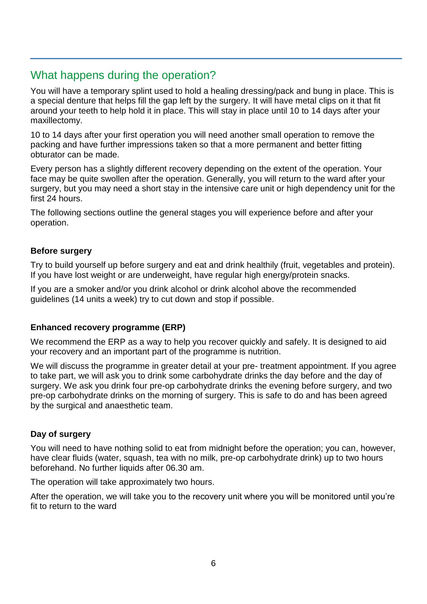# What happens during the operation?

You will have a temporary splint used to hold a healing dressing/pack and bung in place. This is a special denture that helps fill the gap left by the surgery. It will have metal clips on it that fit around your teeth to help hold it in place. This will stay in place until 10 to 14 days after your maxillectomy.

10 to 14 days after your first operation you will need another small operation to remove the packing and have further impressions taken so that a more permanent and better fitting obturator can be made.

Every person has a slightly different recovery depending on the extent of the operation. Your face may be quite swollen after the operation. Generally, you will return to the ward after your surgery, but you may need a short stay in the intensive care unit or high dependency unit for the first 24 hours.

The following sections outline the general stages you will experience before and after your operation.

#### **Before surgery**

Try to build yourself up before surgery and eat and drink healthily (fruit, vegetables and protein). If you have lost weight or are underweight, have regular high energy/protein snacks.

If you are a smoker and/or you drink alcohol or drink alcohol above the recommended guidelines (14 units a week) try to cut down and stop if possible.

#### **Enhanced recovery programme (ERP)**

We recommend the ERP as a way to help you recover quickly and safely. It is designed to aid your recovery and an important part of the programme is nutrition.

We will discuss the programme in greater detail at your pre-treatment appointment. If you agree to take part, we will ask you to drink some carbohydrate drinks the day before and the day of surgery. We ask you drink four pre-op carbohydrate drinks the evening before surgery, and two pre-op carbohydrate drinks on the morning of surgery. This is safe to do and has been agreed by the surgical and anaesthetic team.

#### **Day of surgery**

You will need to have nothing solid to eat from midnight before the operation; you can, however, have clear fluids (water, squash, tea with no milk, pre-op carbohydrate drink) up to two hours beforehand. No further liquids after 06.30 am.

The operation will take approximately two hours.

After the operation, we will take you to the recovery unit where you will be monitored until you're fit to return to the ward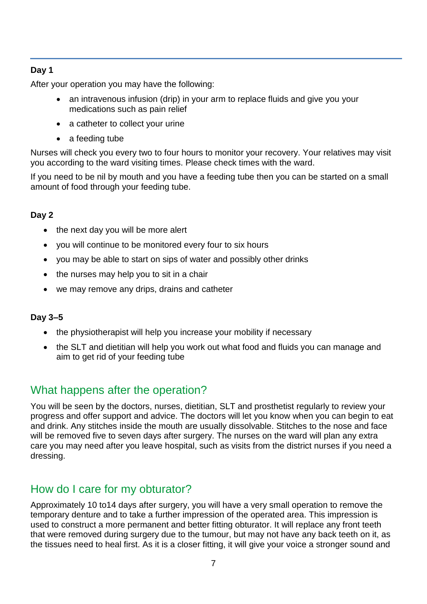#### **Day 1**

After your operation you may have the following:

- an intravenous infusion (drip) in your arm to replace fluids and give you your medications such as pain relief
- a catheter to collect your urine
- a feeding tube

Nurses will check you every two to four hours to monitor your recovery. Your relatives may visit you according to the ward visiting times. Please check times with the ward.

If you need to be nil by mouth and you have a feeding tube then you can be started on a small amount of food through your feeding tube.

#### **Day 2**

- the next day you will be more alert
- you will continue to be monitored every four to six hours
- you may be able to start on sips of water and possibly other drinks
- the nurses may help you to sit in a chair
- we may remove any drips, drains and catheter

#### **Day 3–5**

- the physiotherapist will help you increase your mobility if necessary
- the SLT and dietitian will help you work out what food and fluids you can manage and aim to get rid of your feeding tube

### What happens after the operation?

You will be seen by the doctors, nurses, dietitian, SLT and prosthetist regularly to review your progress and offer support and advice. The doctors will let you know when you can begin to eat and drink. Any stitches inside the mouth are usually dissolvable. Stitches to the nose and face will be removed five to seven days after surgery. The nurses on the ward will plan any extra care you may need after you leave hospital, such as visits from the district nurses if you need a dressing.

### How do I care for my obturator?

Approximately 10 to14 days after surgery, you will have a very small operation to remove the temporary denture and to take a further impression of the operated area. This impression is used to construct a more permanent and better fitting obturator. It will replace any front teeth that were removed during surgery due to the tumour, but may not have any back teeth on it, as the tissues need to heal first. As it is a closer fitting, it will give your voice a stronger sound and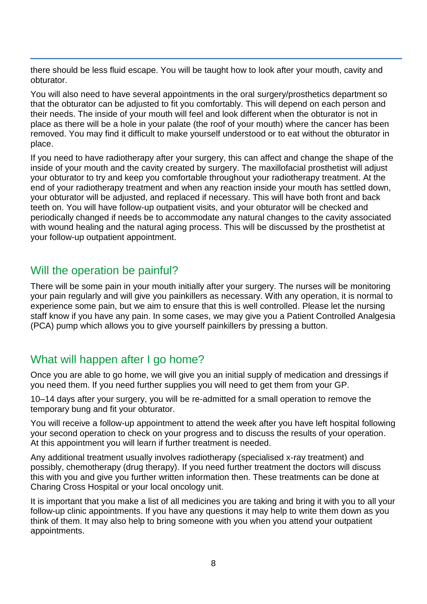there should be less fluid escape. You will be taught how to look after your mouth, cavity and obturator.

You will also need to have several appointments in the oral surgery/prosthetics department so that the obturator can be adjusted to fit you comfortably. This will depend on each person and their needs. The inside of your mouth will feel and look different when the obturator is not in place as there will be a hole in your palate (the roof of your mouth) where the cancer has been removed. You may find it difficult to make yourself understood or to eat without the obturator in place.

If you need to have radiotherapy after your surgery, this can affect and change the shape of the inside of your mouth and the cavity created by surgery. The maxillofacial prosthetist will adjust your obturator to try and keep you comfortable throughout your radiotherapy treatment. At the end of your radiotherapy treatment and when any reaction inside your mouth has settled down, your obturator will be adjusted, and replaced if necessary. This will have both front and back teeth on. You will have follow-up outpatient visits, and your obturator will be checked and periodically changed if needs be to accommodate any natural changes to the cavity associated with wound healing and the natural aging process. This will be discussed by the prosthetist at your follow-up outpatient appointment.

### Will the operation be painful?

There will be some pain in your mouth initially after your surgery. The nurses will be monitoring your pain regularly and will give you painkillers as necessary. With any operation, it is normal to experience some pain, but we aim to ensure that this is well controlled. Please let the nursing staff know if you have any pain. In some cases, we may give you a Patient Controlled Analgesia (PCA) pump which allows you to give yourself painkillers by pressing a button.

# What will happen after I go home?

Once you are able to go home, we will give you an initial supply of medication and dressings if you need them. If you need further supplies you will need to get them from your GP.

10–14 days after your surgery, you will be re-admitted for a small operation to remove the temporary bung and fit your obturator.

You will receive a follow-up appointment to attend the week after you have left hospital following your second operation to check on your progress and to discuss the results of your operation. At this appointment you will learn if further treatment is needed.

Any additional treatment usually involves radiotherapy (specialised x-ray treatment) and possibly, chemotherapy (drug therapy). If you need further treatment the doctors will discuss this with you and give you further written information then. These treatments can be done at Charing Cross Hospital or your local oncology unit.

It is important that you make a list of all medicines you are taking and bring it with you to all your follow-up clinic appointments. If you have any questions it may help to write them down as you think of them. It may also help to bring someone with you when you attend your outpatient appointments.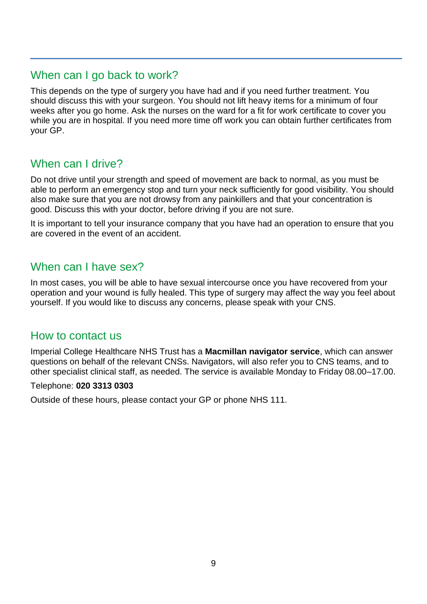### When can I go back to work?

This depends on the type of surgery you have had and if you need further treatment. You should discuss this with your surgeon. You should not lift heavy items for a minimum of four weeks after you go home. Ask the nurses on the ward for a fit for work certificate to cover you while you are in hospital. If you need more time off work you can obtain further certificates from your GP.

# When can I drive?

Do not drive until your strength and speed of movement are back to normal, as you must be able to perform an emergency stop and turn your neck sufficiently for good visibility. You should also make sure that you are not drowsy from any painkillers and that your concentration is good. Discuss this with your doctor, before driving if you are not sure.

It is important to tell your insurance company that you have had an operation to ensure that you are covered in the event of an accident.

### When can I have sex?

In most cases, you will be able to have sexual intercourse once you have recovered from your operation and your wound is fully healed. This type of surgery may affect the way you feel about yourself. If you would like to discuss any concerns, please speak with your CNS.

### How to contact us

Imperial College Healthcare NHS Trust has a **Macmillan navigator service**, which can answer questions on behalf of the relevant CNSs. Navigators, will also refer you to CNS teams, and to other specialist clinical staff, as needed. The service is available Monday to Friday 08.00–17.00.

#### Telephone: **020 3313 0303**

Outside of these hours, please contact your GP or phone NHS 111.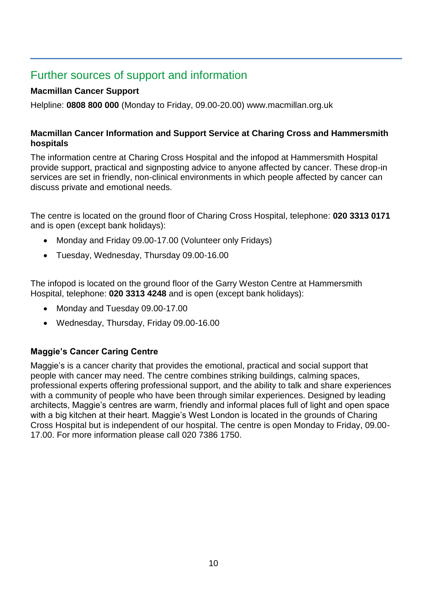# Further sources of support and information

#### **Macmillan Cancer Support**

Helpline: **0808 800 000** (Monday to Friday, 09.00-20.00) www.macmillan.org.uk

#### **Macmillan Cancer Information and Support Service at Charing Cross and Hammersmith hospitals**

The information centre at Charing Cross Hospital and the infopod at Hammersmith Hospital provide support, practical and signposting advice to anyone affected by cancer. These drop-in services are set in friendly, non-clinical environments in which people affected by cancer can discuss private and emotional needs.

The centre is located on the ground floor of Charing Cross Hospital, telephone: **020 3313 0171** and is open (except bank holidays):

- Monday and Friday 09.00-17.00 (Volunteer only Fridays)
- Tuesday, Wednesday, Thursday 09.00-16.00

The infopod is located on the ground floor of the Garry Weston Centre at Hammersmith Hospital, telephone: **020 3313 4248** and is open (except bank holidays):

- Monday and Tuesday 09.00-17.00
- Wednesday, Thursday, Friday 09.00-16.00

### **Maggie's Cancer Caring Centre**

Maggie's is a cancer charity that provides the emotional, practical and social support that people with cancer may need. The centre combines striking buildings, calming spaces, professional experts offering professional support, and the ability to talk and share experiences with a community of people who have been through similar experiences. Designed by leading architects, Maggie's centres are warm, friendly and informal places full of light and open space with a big kitchen at their heart. Maggie's West London is located in the grounds of Charing Cross Hospital but is independent of our hospital. The centre is open Monday to Friday, 09.00- 17.00. For more information please call 020 7386 1750.